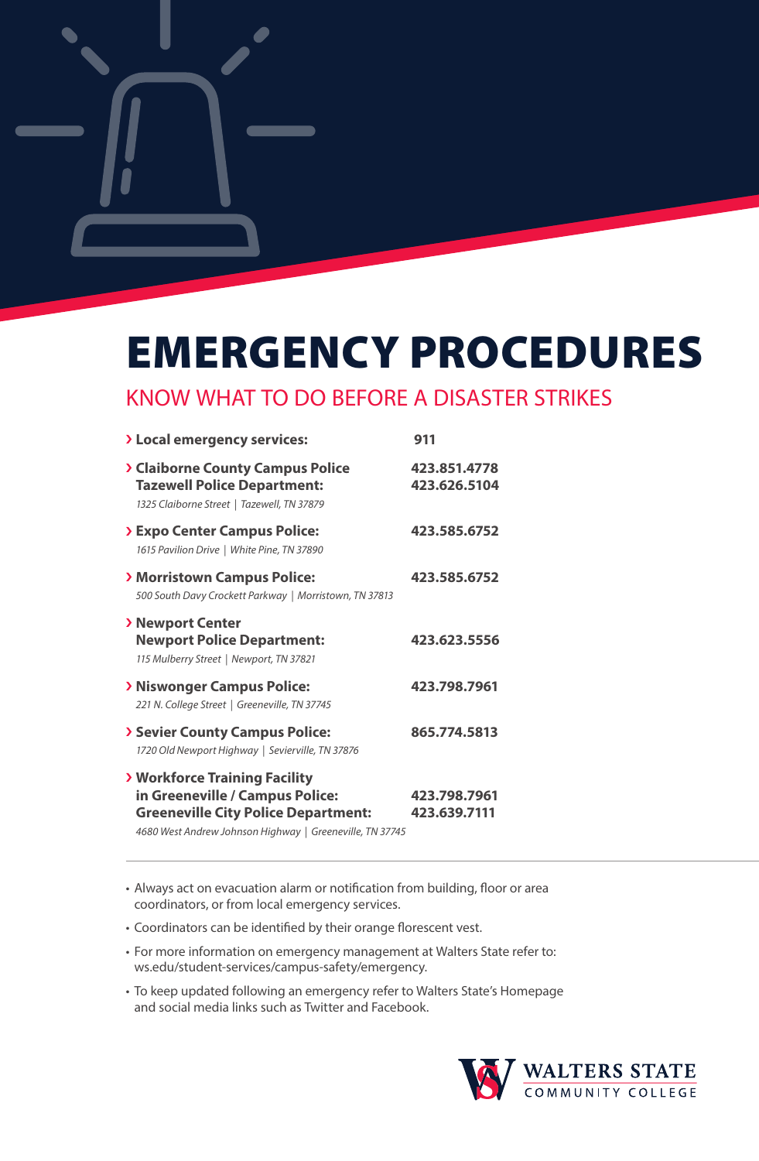

# EMERGENCY PROCEDURES

### KNOW WHAT TO DO BEFORE A DISASTER STRIKES

| > Local emergency services:                                                                                                                                                          | 911                          |  |
|--------------------------------------------------------------------------------------------------------------------------------------------------------------------------------------|------------------------------|--|
| > Claiborne County Campus Police<br><b>Tazewell Police Department:</b><br>1325 Claiborne Street   Tazewell, TN 37879                                                                 | 423.851.4778<br>423.626.5104 |  |
| > Expo Center Campus Police:<br>1615 Pavilion Drive   White Pine, TN 37890                                                                                                           | 423.585.6752                 |  |
| > Morristown Campus Police:<br>500 South Davy Crockett Parkway   Morristown, TN 37813                                                                                                | 423.585.6752                 |  |
| > Newport Center<br><b>Newport Police Department:</b><br>115 Mulberry Street   Newport, TN 37821                                                                                     | 423.623.5556                 |  |
| > Niswonger Campus Police:<br>221 N. College Street   Greeneville, TN 37745                                                                                                          | 423.798.7961                 |  |
| > Sevier County Campus Police:<br>1720 Old Newport Highway   Sevierville, TN 37876                                                                                                   | 865.774.5813                 |  |
| <b>&gt; Workforce Training Facility</b><br>in Greeneville / Campus Police:<br><b>Greeneville City Police Department:</b><br>4680 West Andrew Johnson Highway   Greeneville, TN 37745 | 423.798.7961<br>423.639.7111 |  |

• Always act on evacuation alarm or notification from building, floor or area coordinators, or from local emergency services.

• Coordinators can be identified by their orange florescent vest.

- For more information on emergency management at Walters State refer to: ws.edu/student-services/campus-safety/emergency.
- To keep updated following an emergency refer to Walters State's Homepage and social media links such as Twitter and Facebook.

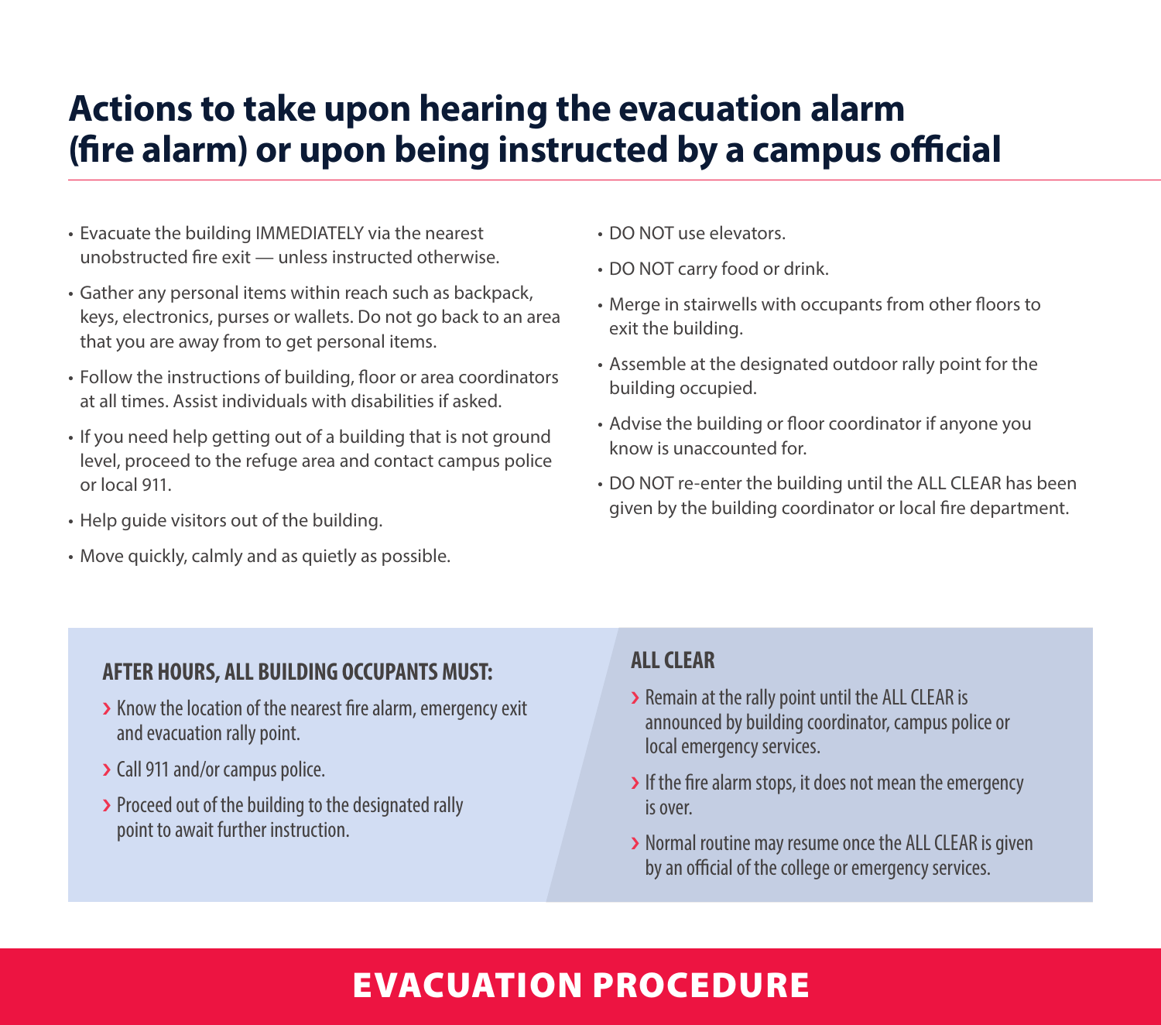### **Actions to take upon hearing the evacuation alarm (fire alarm) or upon being instructed by a campus official**

- Evacuate the building IMMEDIATELY via the nearest unobstructed fire exit — unless instructed otherwise.
- Gather any personal items within reach such as backpack, keys, electronics, purses or wallets. Do not go back to an area that you are away from to get personal items.
- Follow the instructions of building, floor or area coordinators at all times. Assist individuals with disabilities if asked.
- If you need help getting out of a building that is not ground level, proceed to the refuge area and contact campus police or local 911.
- Help guide visitors out of the building.
- Move quickly, calmly and as quietly as possible.
- DO NOT use elevators.
- DO NOT carry food or drink.
- Merge in stairwells with occupants from other floors to exit the building.
- Assemble at the designated outdoor rally point for the building occupied.
- Advise the building or floor coordinator if anyone you know is unaccounted for.
- DO NOT re-enter the building until the ALL CLEAR has been given by the building coordinator or local fire department.

#### **AFTER HOURS, ALL BUILDING OCCUPANTS MUST:**

- > Know the location of the nearest fire alarm, emergency exit and evacuation rally point.
- › Call 911 and/or campus police.
- > Proceed out of the building to the designated rally point to await further instruction.

#### **ALL CLEAR**

- › Remain at the rally point until the ALL CLEAR is announced by building coordinator, campus police or local emergency services.
- If the fire alarm stops, it does not mean the emergency is over.
- › Normal routine may resume once the ALL CLEAR is given by an official of the college or emergency services.

### EVACUATION PROCEDURE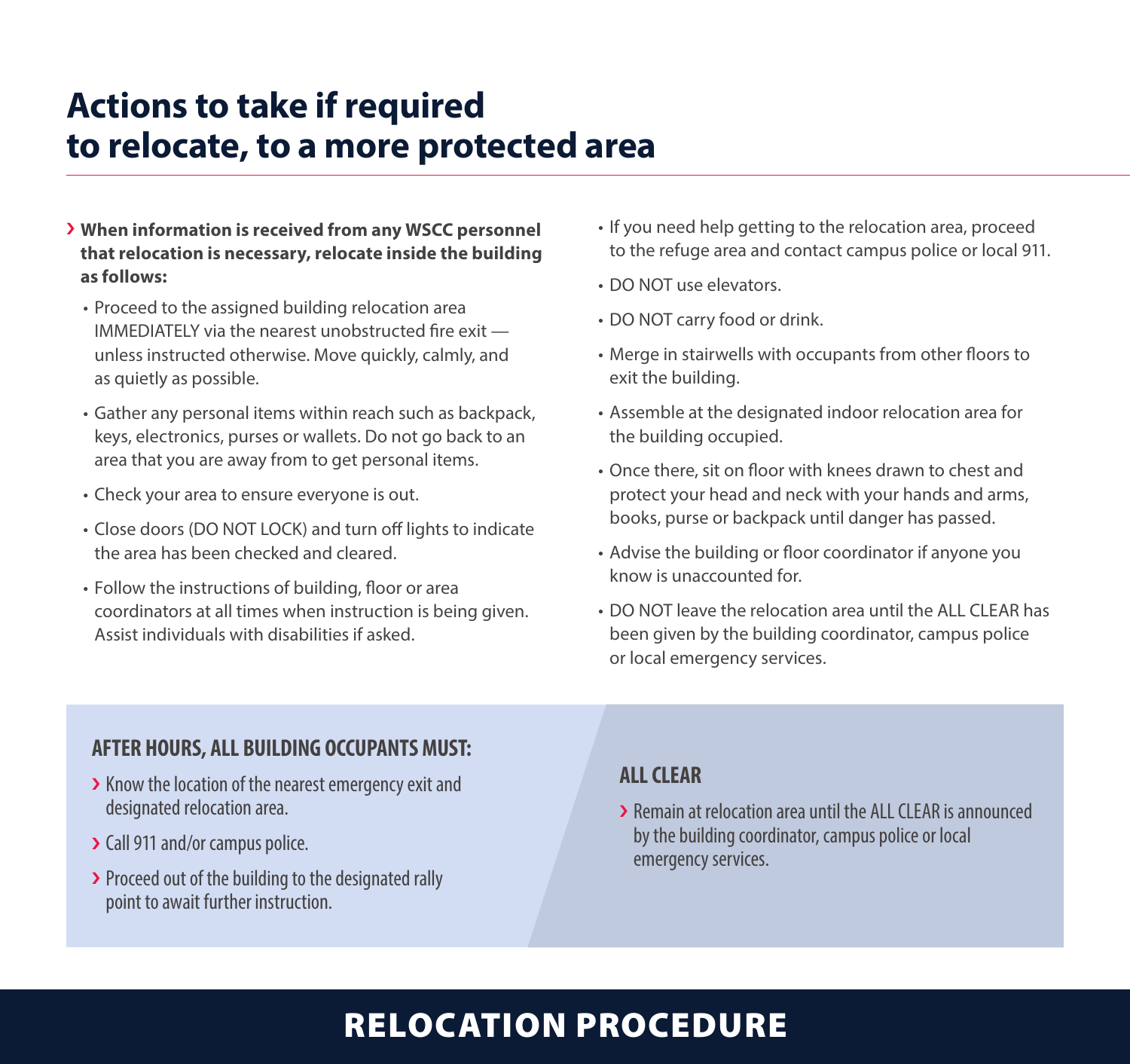### **Actions to take if required to relocate, to a more protected area**

- › **When information is received from any WSCC personnel that relocation is necessary, relocate inside the building as follows:** 
	- Proceed to the assigned building relocation area IMMEDIATELY via the nearest unobstructed fire exit unless instructed otherwise. Move quickly, calmly, and as quietly as possible.
	- Gather any personal items within reach such as backpack, keys, electronics, purses or wallets. Do not go back to an area that you are away from to get personal items.
	- Check your area to ensure everyone is out.
	- Close doors (DO NOT LOCK) and turn off lights to indicate the area has been checked and cleared.
	- Follow the instructions of building, floor or area coordinators at all times when instruction is being given. Assist individuals with disabilities if asked.
- If you need help getting to the relocation area, proceed to the refuge area and contact campus police or local 911.
- DO NOT use elevators.
- DO NOT carry food or drink.
- Merge in stairwells with occupants from other floors to exit the building.
- Assemble at the designated indoor relocation area for the building occupied.
- Once there, sit on floor with knees drawn to chest and protect your head and neck with your hands and arms, books, purse or backpack until danger has passed.
- Advise the building or floor coordinator if anyone you know is unaccounted for.
- DO NOT leave the relocation area until the ALL CLEAR has been given by the building coordinator, campus police or local emergency services.

#### **AFTER HOURS, ALL BUILDING OCCUPANTS MUST:**

- > Know the location of the nearest emergency exit and designated relocation area.
- › Call 911 and/or campus police.
- > Proceed out of the building to the designated rally point to await further instruction.

#### **ALL CLEAR**

› Remain at relocation area until the ALL CLEAR is announced by the building coordinator, campus police or local emergency services.

### RELOCATION PROCEDURE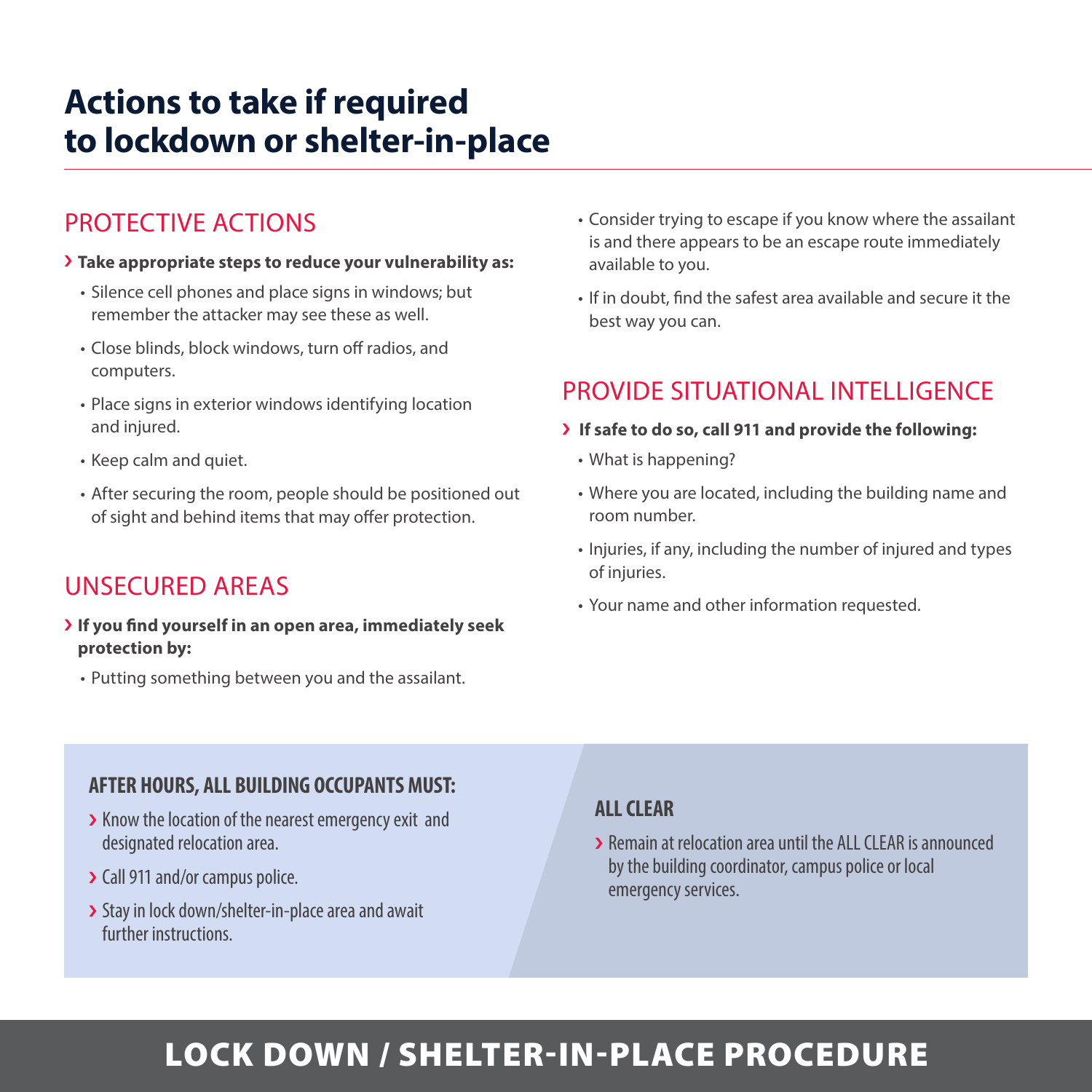### **Actions to take if required to lockdown or shelter-in-place**

### PROTECTIVE ACTIONS

#### › **Take appropriate steps to reduce your vulnerability as:**

- Silence cell phones and place signs in windows; but remember the attacker may see these as well.
- Close blinds, block windows, turn off radios, and computers.
- Place signs in exterior windows identifying location and injured.
- Keep calm and quiet.
- After securing the room, people should be positioned out of sight and behind items that may offer protection.

### UNSECURED AREAS

- › **If you find yourself in an open area, immediately seek protection by:**
	- Putting something between you and the assailant.
- Consider trying to escape if you know where the assailant is and there appears to be an escape route immediately available to you.
- If in doubt, find the safest area available and secure it the best way you can.

### PROVIDE SITUATIONAL INTELLIGENCE

- › **If safe to do so, call 911 and provide the following:**
	- What is happening?
	- Where you are located, including the building name and room number.
	- Injuries, if any, including the number of injured and types of injuries.
	- Your name and other information requested.

#### **AFTER HOURS, ALL BUILDING OCCUPANTS MUST:**

- > Know the location of the nearest emergency exit and designated relocation area.
- › Call 911 and/or campus police.
- > Stay in lock down/shelter-in-place area and await further instructions.

#### **ALL CLEAR**

› Remain at relocation area until the ALL CLEAR is announced by the building coordinator, campus police or local emergency services.

### LOCK DOWN / SHELTER-IN-PLACE PROCEDURE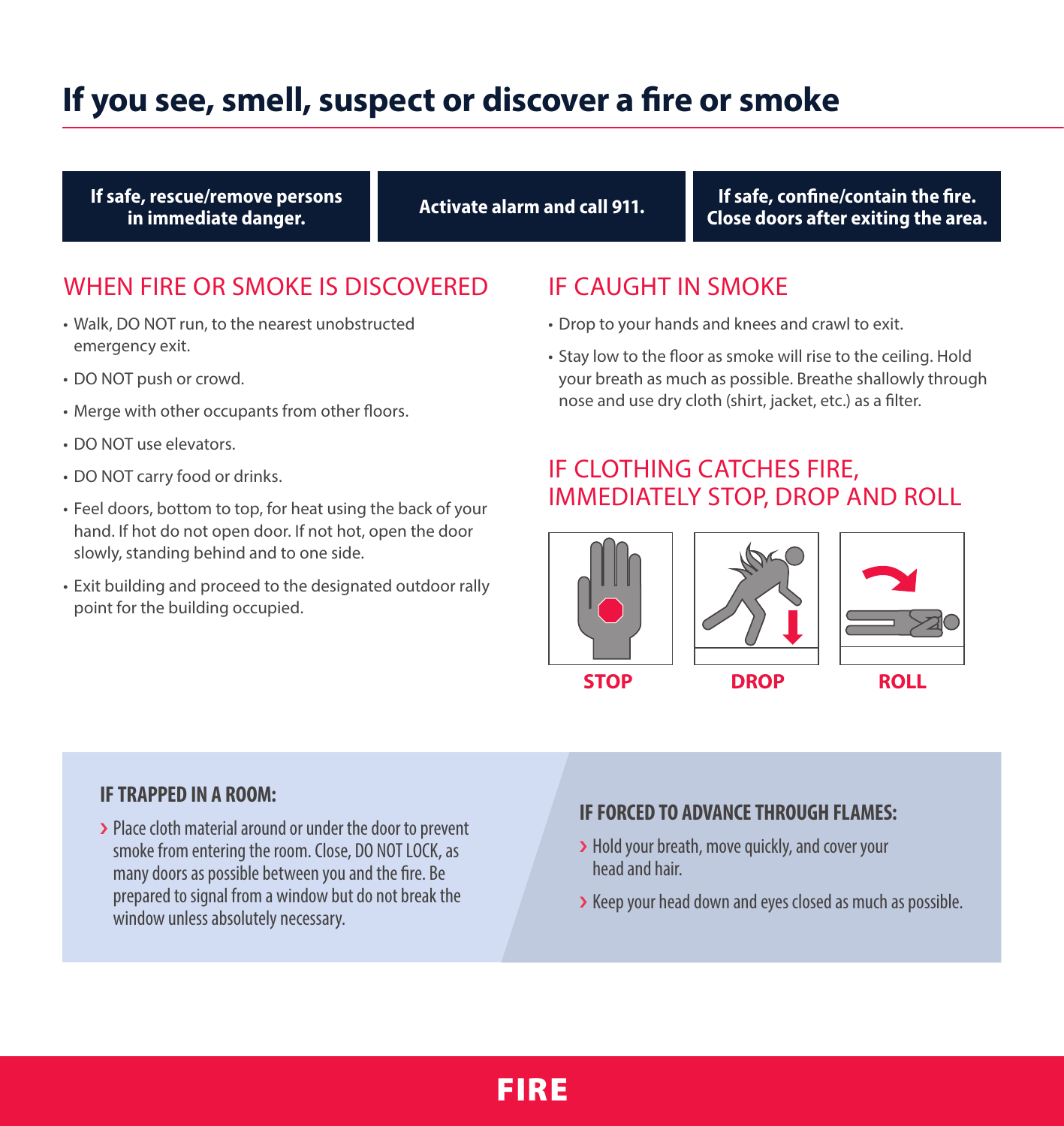### **If you see, smell, suspect or discover a fire or smoke**

**If safe, rescue/remove persons in immediate danger.**

**If safe, confine/contain the fire. Close doors after exiting the area. Activate alarm and call 911.**

### WHEN FIRE OR SMOKE IS DISCOVERED

- Walk, DO NOT run, to the nearest unobstructed emergency exit.
- DO NOT push or crowd.
- Merge with other occupants from other floors.
- DO NOT use elevators.
- DO NOT carry food or drinks.
- Feel doors, bottom to top, for heat using the back of your hand. If hot do not open door. If not hot, open the door slowly, standing behind and to one side.
- Exit building and proceed to the designated outdoor rally point for the building occupied.

### IF CAUGHT IN SMOKE

- Drop to your hands and knees and crawl to exit.
- Stay low to the floor as smoke will rise to the ceiling. Hold your breath as much as possible. Breathe shallowly through nose and use dry cloth (shirt, jacket, etc.) as a filter.

### IF CLOTHING CATCHES FIRE, IMMEDIATELY STOP, DROP AND ROLL





#### **IF TRAPPED IN A ROOM:**

› Place cloth material around or under the door to prevent smoke from entering the room. Close, DO NOT LOCK, as many doors as possible between you and the fire. Be prepared to signal from a window but do not break the window unless absolutely necessary.

#### **IF FORCED TO ADVANCE THROUGH FLAMES:**

- › Hold your breath, move quickly, and cover your head and hair.
- › Keep your head down and eyes closed as much as possible.

### FIRE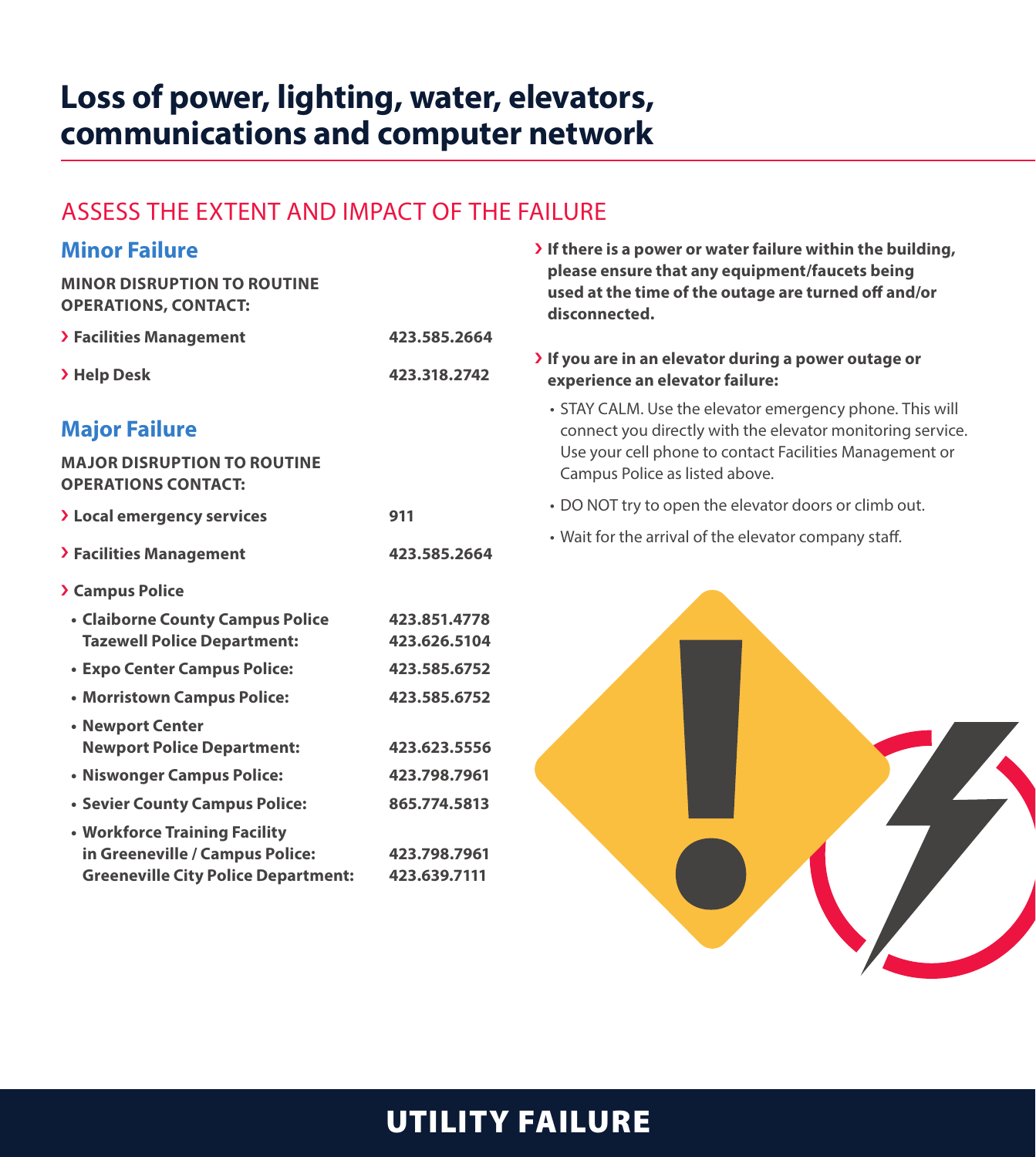### **Loss of power, lighting, water, elevators, communications and computer network**

### ASSESS THE EXTENT AND IMPACT OF THE FAILURE

| <b>Minor Failure</b>                                                                                           |                              | > If there is a power or wa<br>please ensure that any e<br>used at the time of the o<br>disconnected. |  |
|----------------------------------------------------------------------------------------------------------------|------------------------------|-------------------------------------------------------------------------------------------------------|--|
| <b>MINOR DISRUPTION TO ROUTINE</b><br><b>OPERATIONS, CONTACT:</b>                                              |                              |                                                                                                       |  |
| > Facilities Management                                                                                        | 423.585.2664                 |                                                                                                       |  |
| > Help Desk                                                                                                    | 423.318.2742                 | > If you are in an elevator<br>experience an elevator f                                               |  |
| <b>Major Failure</b>                                                                                           |                              | • STAY CALM. Use the eley<br>connect you directly wit                                                 |  |
| <b>MAJOR DISRUPTION TO ROUTINE</b><br><b>OPERATIONS CONTACT:</b>                                               |                              | Use your cell phone to c<br>Campus Police as listed                                                   |  |
| > Local emergency services                                                                                     | 911                          | • DO NOT try to open the                                                                              |  |
| > Facilities Management                                                                                        | 423.585.2664                 | • Wait for the arrival of the                                                                         |  |
| <b>&gt; Campus Police</b>                                                                                      |                              |                                                                                                       |  |
| • Claiborne County Campus Police<br><b>Tazewell Police Department:</b>                                         | 423.851.4778<br>423.626.5104 |                                                                                                       |  |
| • Expo Center Campus Police:                                                                                   | 423.585.6752                 |                                                                                                       |  |
| • Morristown Campus Police:                                                                                    | 423.585.6752                 |                                                                                                       |  |
| • Newport Center<br><b>Newport Police Department:</b>                                                          | 423.623.5556                 |                                                                                                       |  |
| • Niswonger Campus Police:                                                                                     | 423.798.7961                 |                                                                                                       |  |
| • Sevier County Campus Police:                                                                                 | 865.774.5813                 |                                                                                                       |  |
| • Workforce Training Facility<br>in Greeneville / Campus Police:<br><b>Greeneville City Police Department:</b> | 423.798.7961<br>423.639.7111 |                                                                                                       |  |
|                                                                                                                |                              |                                                                                                       |  |

*I***er failure within the building, equipment/faucets being utage are turned off and/or** 

during a power outage or failure:

- vator emergency phone. This will th the elevator monitoring service. contact Facilities Management or above.
- elevator doors or climb out.
- e elevator company staff.



### UTILITY FAILURE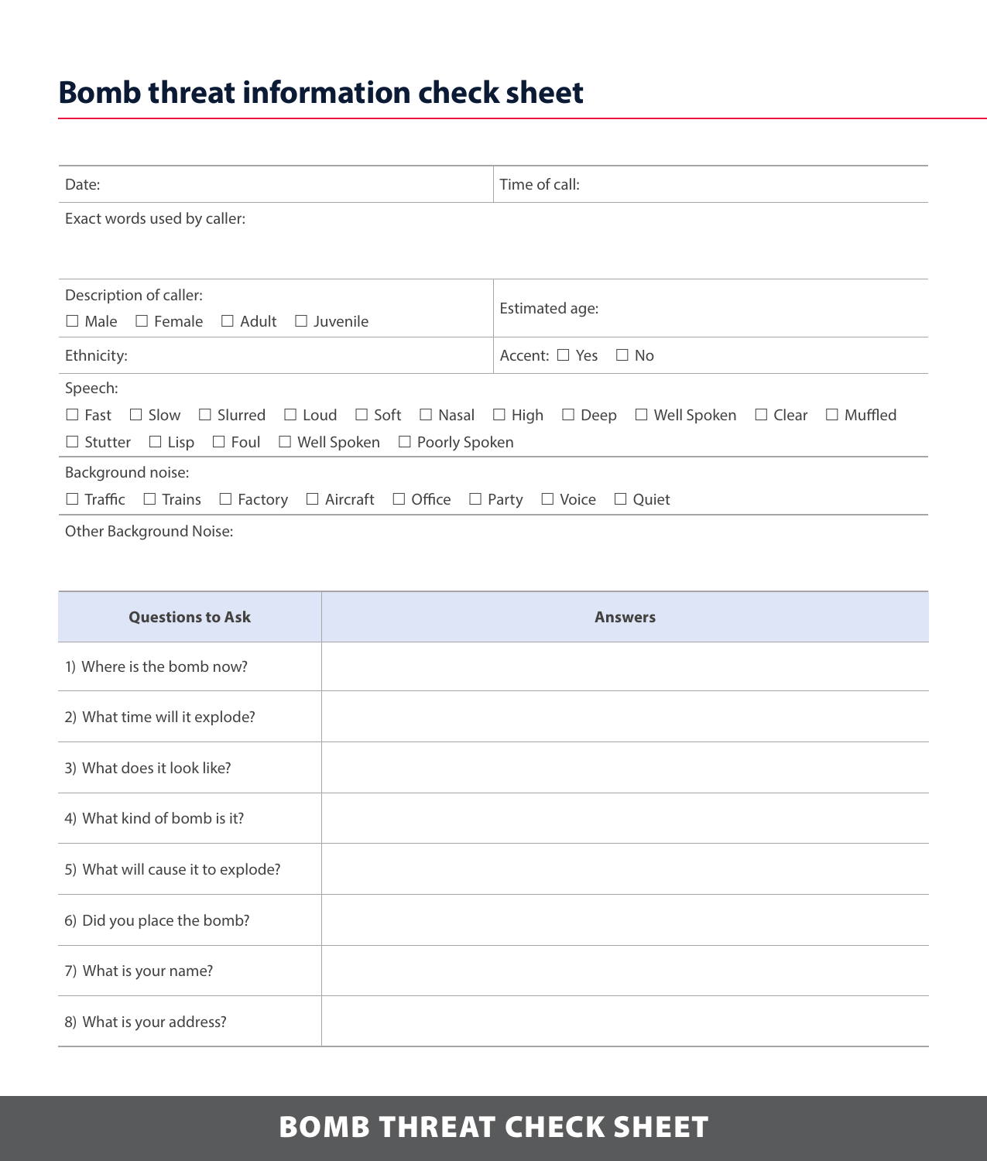## **Bomb threat information check sheet**

| Date:                                                                                                                                              | Time of call:                |  |  |
|----------------------------------------------------------------------------------------------------------------------------------------------------|------------------------------|--|--|
| Exact words used by caller:                                                                                                                        |                              |  |  |
|                                                                                                                                                    |                              |  |  |
| Description of caller:                                                                                                                             | Estimated age:               |  |  |
| $\Box$ Male $\Box$ Female $\Box$ Adult<br>$\Box$ Juvenile                                                                                          |                              |  |  |
| Ethnicity:                                                                                                                                         | Accent: $\Box$ Yes $\Box$ No |  |  |
| Speech:                                                                                                                                            |                              |  |  |
| $\Box$ Fast $\Box$ Slow $\Box$ Slurred $\Box$ Loud $\Box$ Soft $\Box$ Nasal $\Box$ High $\Box$ Deep $\Box$ Well Spoken $\Box$ Clear $\Box$ Muffled |                              |  |  |
| $\Box$ Stutter $\Box$ Lisp $\Box$ Foul $\Box$ Well Spoken $\Box$ Poorly Spoken                                                                     |                              |  |  |
| Background noise:                                                                                                                                  |                              |  |  |
| $\Box$ Traffic $\Box$ Trains $\Box$ Factory $\Box$ Aircraft $\Box$ Office $\Box$ Party $\Box$ Voice $\Box$ Quiet                                   |                              |  |  |
| Other Background Noise:                                                                                                                            |                              |  |  |

| <b>Questions to Ask</b>           | <b>Answers</b> |
|-----------------------------------|----------------|
| 1) Where is the bomb now?         |                |
| 2) What time will it explode?     |                |
| 3) What does it look like?        |                |
| 4) What kind of bomb is it?       |                |
| 5) What will cause it to explode? |                |
| 6) Did you place the bomb?        |                |
| 7) What is your name?             |                |
| 8) What is your address?          |                |

### BOMB THREAT CHECK SHEET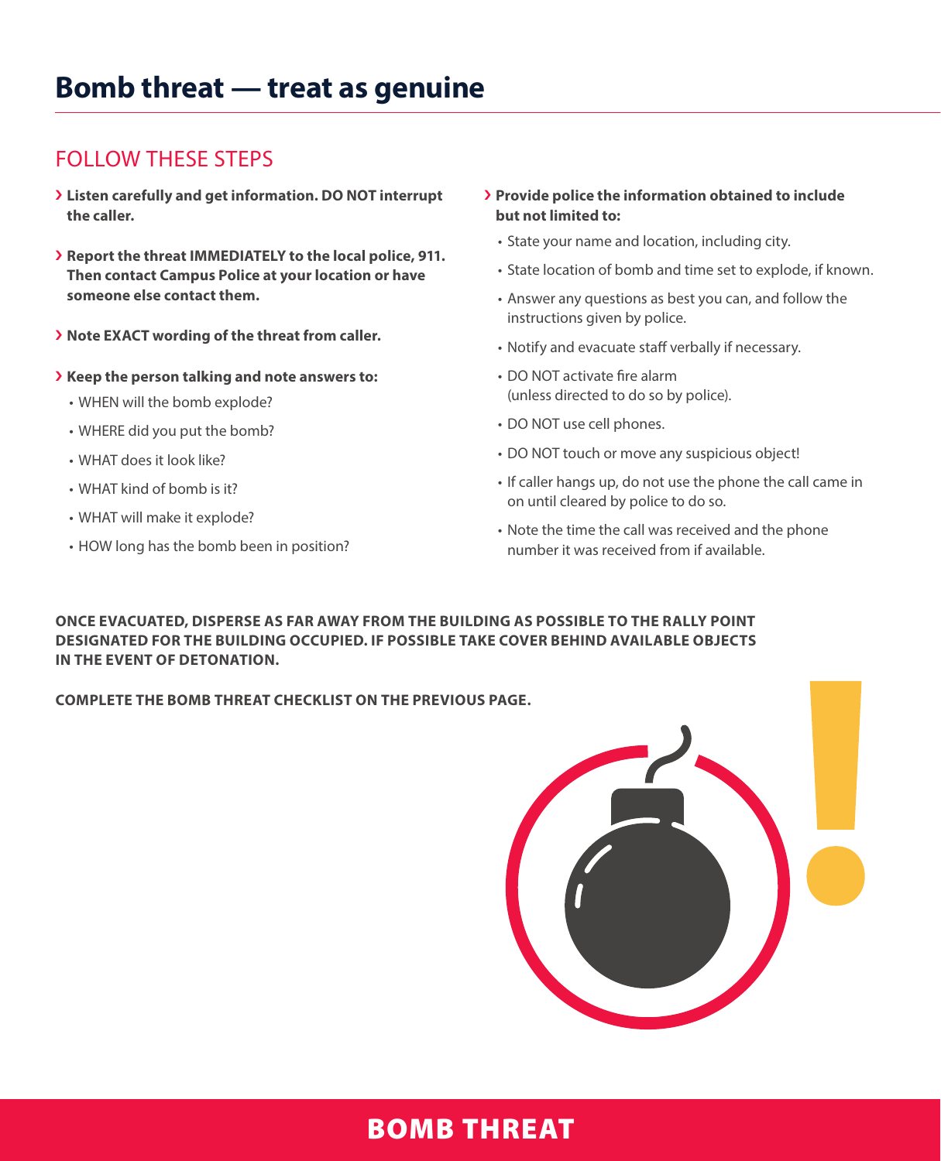### FOLLOW THESE STEPS

- › **Listen carefully and get information. DO NOT interrupt the caller.**
- › **Report the threat IMMEDIATELY to the local police, 911. Then contact Campus Police at your location or have someone else contact them.**
- › **Note EXACT wording of the threat from caller.**
- › **Keep the person talking and note answers to:**
	- WHEN will the bomb explode?
	- WHERE did you put the bomb?
	- WHAT does it look like?
	- WHAT kind of bomb is it?
	- WHAT will make it explode?
	- HOW long has the bomb been in position?
- › **Provide police the information obtained to include but not limited to:**
	- State your name and location, including city.
	- State location of bomb and time set to explode, if known.
	- Answer any questions as best you can, and follow the instructions given by police.
	- Notify and evacuate staff verbally if necessary.
	- DO NOT activate fire alarm (unless directed to do so by police).
	- DO NOT use cell phones.
	- DO NOT touch or move any suspicious object!
	- If caller hangs up, do not use the phone the call came in on until cleared by police to do so.
	- Note the time the call was received and the phone number it was received from if available.

**ONCE EVACUATED, DISPERSE AS FAR AWAY FROM THE BUILDING AS POSSIBLE TO THE RALLY POINT DESIGNATED FOR THE BUILDING OCCUPIED. IF POSSIBLE TAKE COVER BEHIND AVAILABLE OBJECTS IN THE EVENT OF DETONATION.**

**COMPLETE THE BOMB THREAT CHECKLIST ON THE PREVIOUS PAGE.**



### BOMB THREAT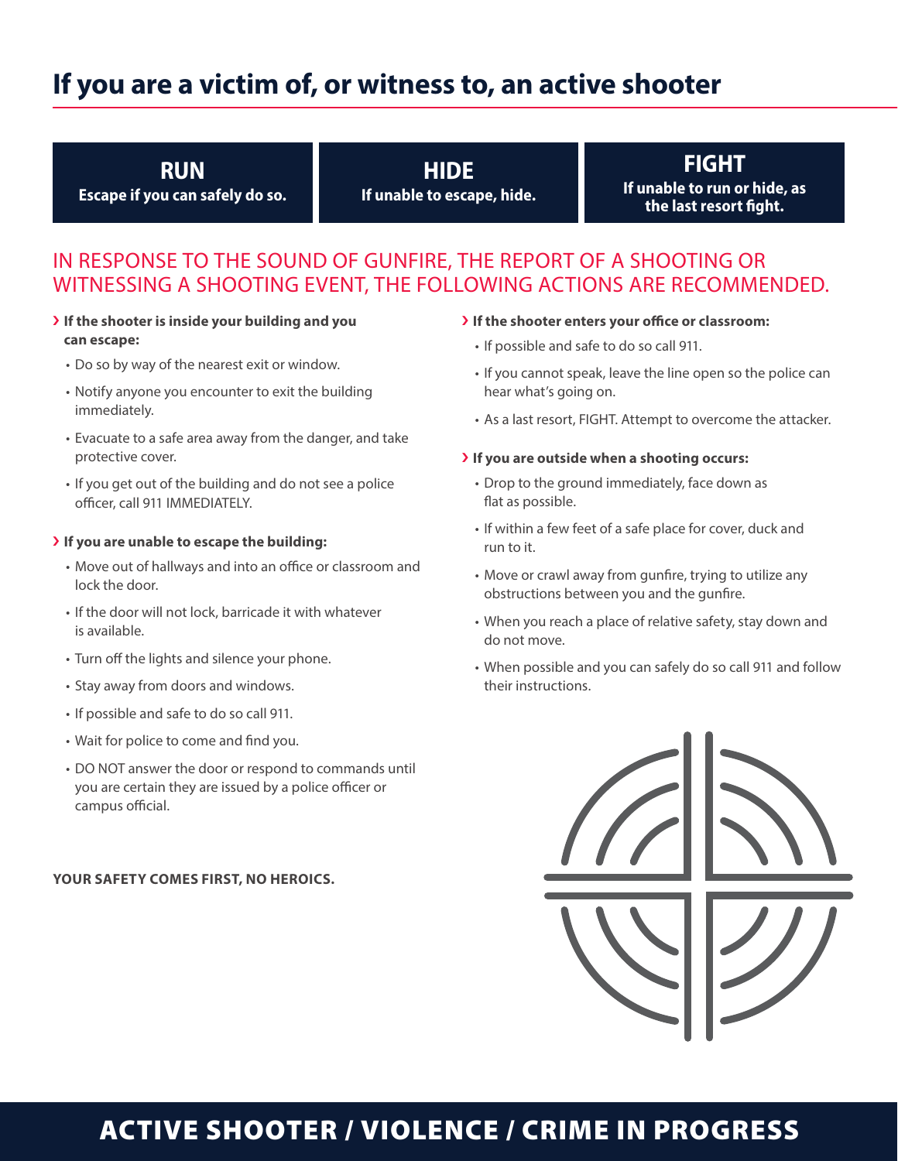### **If you are a victim of, or witness to, an active shooter**

#### **RUN**

**Escape if you can safely do so.**

#### **HIDE If unable to escape, hide.**

### **FIGHT**

**If unable to run or hide, as the last resort fight.**

### IN RESPONSE TO THE SOUND OF GUNFIRE, THE REPORT OF A SHOOTING OR WITNESSING A SHOOTING EVENT, THE FOLLOWING ACTIONS ARE RECOMMENDED.

- › **If the shooter is inside your building and you can escape:**
	- Do so by way of the nearest exit or window.
	- Notify anyone you encounter to exit the building immediately.
	- Evacuate to a safe area away from the danger, and take protective cover.
	- If you get out of the building and do not see a police officer, call 911 IMMEDIATELY.

#### › **If you are unable to escape the building:**

- Move out of hallways and into an office or classroom and lock the door.
- If the door will not lock, barricade it with whatever is available.
- Turn off the lights and silence your phone.
- Stay away from doors and windows.
- If possible and safe to do so call 911.
- Wait for police to come and find you.
- DO NOT answer the door or respond to commands until you are certain they are issued by a police officer or campus official.

#### **YOUR SAFETY COMES FIRST, NO HEROICS.**

#### › **If the shooter enters your office or classroom:**

- If possible and safe to do so call 911.
- If you cannot speak, leave the line open so the police can hear what's going on.
- As a last resort, FIGHT. Attempt to overcome the attacker.

#### › **If you are outside when a shooting occurs:**

- Drop to the ground immediately, face down as flat as possible.
- If within a few feet of a safe place for cover, duck and run to it.
- Move or crawl away from gunfire, trying to utilize any obstructions between you and the gunfire.
- When you reach a place of relative safety, stay down and do not move.
- When possible and you can safely do so call 911 and follow their instructions.



### ACTIVE SHOOTER / VIOLENCE / CRIME IN PROGRESS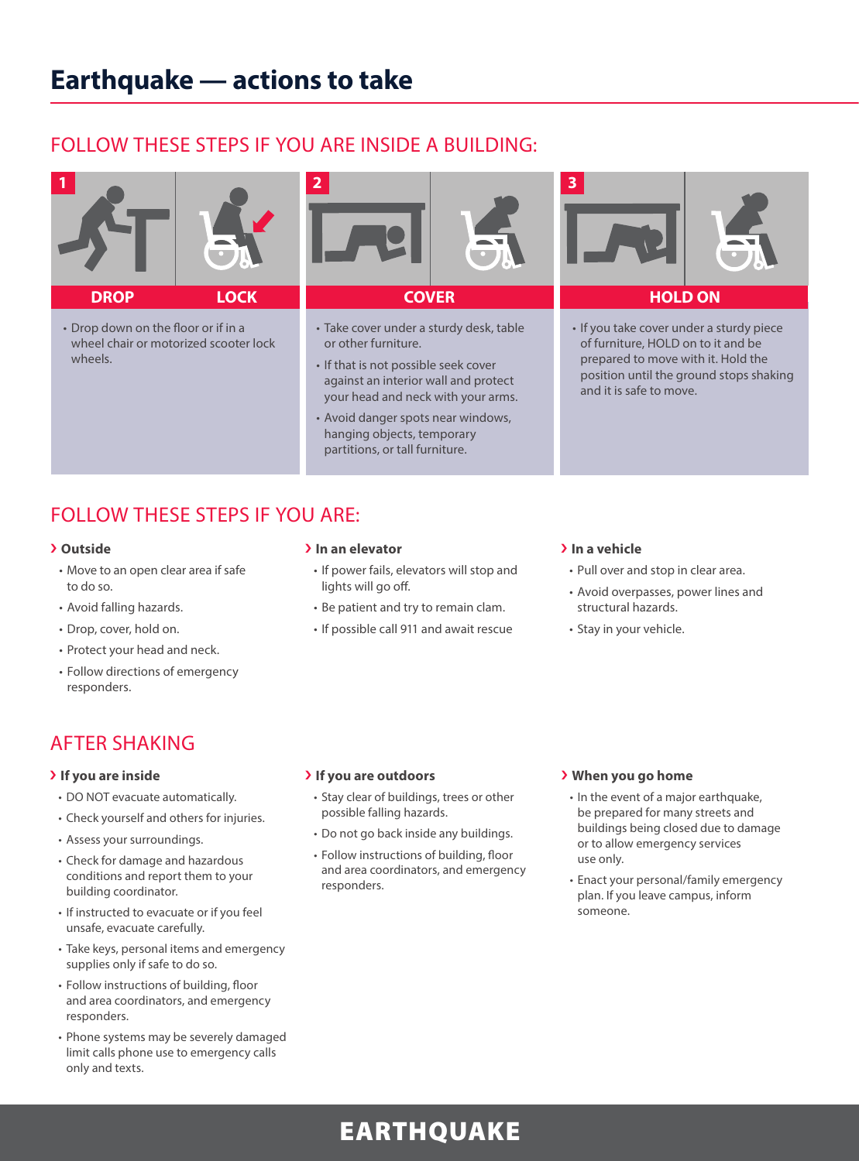### FOLLOW THESE STEPS IF YOU ARE INSIDE A BUILDING:



• Drop down on the floor or if in a wheel chair or motorized scooter lock wheels.



- Take cover under a sturdy desk, table or other furniture.
- If that is not possible seek cover against an interior wall and protect your head and neck with your arms.
- Avoid danger spots near windows, hanging objects, temporary partitions, or tall furniture.



• If you take cover under a sturdy piece of furniture, HOLD on to it and be prepared to move with it. Hold the position until the ground stops shaking and it is safe to move.

### FOLLOW THESE STEPS IF YOU ARE:

#### › **Outside**

- Move to an open clear area if safe to do so.
- Avoid falling hazards.
- Drop, cover, hold on.
- Protect your head and neck.
- Follow directions of emergency responders.

### AFTER SHAKING

- › **If you are inside**
- DO NOT evacuate automatically.
- Check yourself and others for injuries.
- Assess your surroundings.
- Check for damage and hazardous conditions and report them to your building coordinator.
- If instructed to evacuate or if you feel unsafe, evacuate carefully.
- Take keys, personal items and emergency supplies only if safe to do so.
- Follow instructions of building, floor and area coordinators, and emergency responders.
- Phone systems may be severely damaged limit calls phone use to emergency calls only and texts.

#### › **In an elevator**

- If power fails, elevators will stop and lights will go off.
- Be patient and try to remain clam.
- If possible call 911 and await rescue

#### › **In a vehicle**

- Pull over and stop in clear area.
- Avoid overpasses, power lines and structural hazards.
- Stay in your vehicle.

#### › **If you are outdoors**

- Stay clear of buildings, trees or other possible falling hazards.
- Do not go back inside any buildings.
- Follow instructions of building, floor and area coordinators, and emergency responders.

#### › **When you go home**

- In the event of a major earthquake, be prepared for many streets and buildings being closed due to damage or to allow emergency services use only.
- Enact your personal/family emergency plan. If you leave campus, inform someone.

### EARTHQUAKE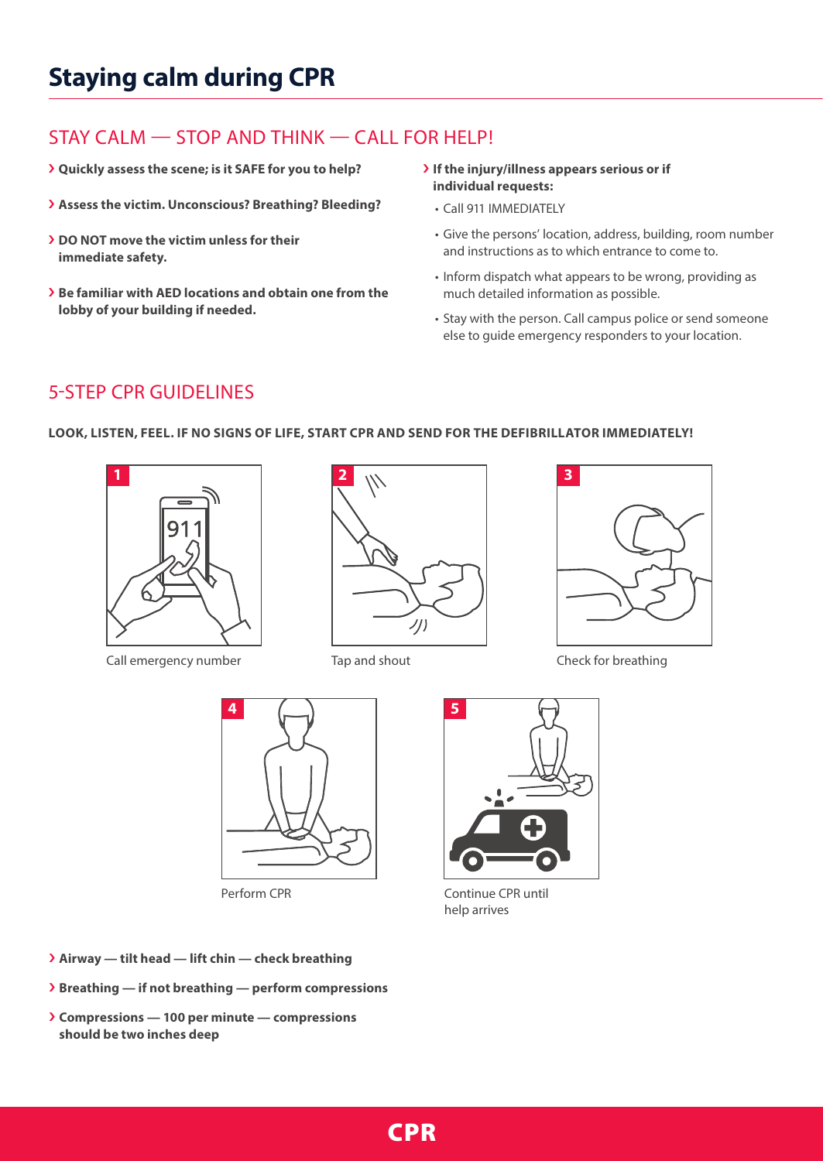## **Staying calm during CPR**

### STAY CALM — STOP AND THINK — CALL FOR HELP!

- › **Quickly assess the scene; is it SAFE for you to help?**
- › **Assess the victim. Unconscious? Breathing? Bleeding?**
- › **DO NOT move the victim unless for their immediate safety.**
- › **Be familiar with AED locations and obtain one from the lobby of your building if needed.**

#### › **If the injury/illness appears serious or if individual requests:**

- Call 911 IMMEDIATELY
- Give the persons' location, address, building, room number and instructions as to which entrance to come to.
- Inform dispatch what appears to be wrong, providing as much detailed information as possible.
- else to guide emergency responders to your location.

### 5-STEP CPR GUIDELINES

#### **LOOK, LISTEN, FEEL. IF NO SIGNS OF LIFE, START CPR AND SEND FOR THE DEFIBRILLATOR IMMEDIATELY!**







Perform CPR **CONTINUE CPR** until help arrives

- › **Airway tilt head lift chin check breathing**
- › **Breathing if not breathing perform compressions**
- › **Compressions 100 per minute compressions should be two inches deep**

• Stay with the person. Call campus police or send someone

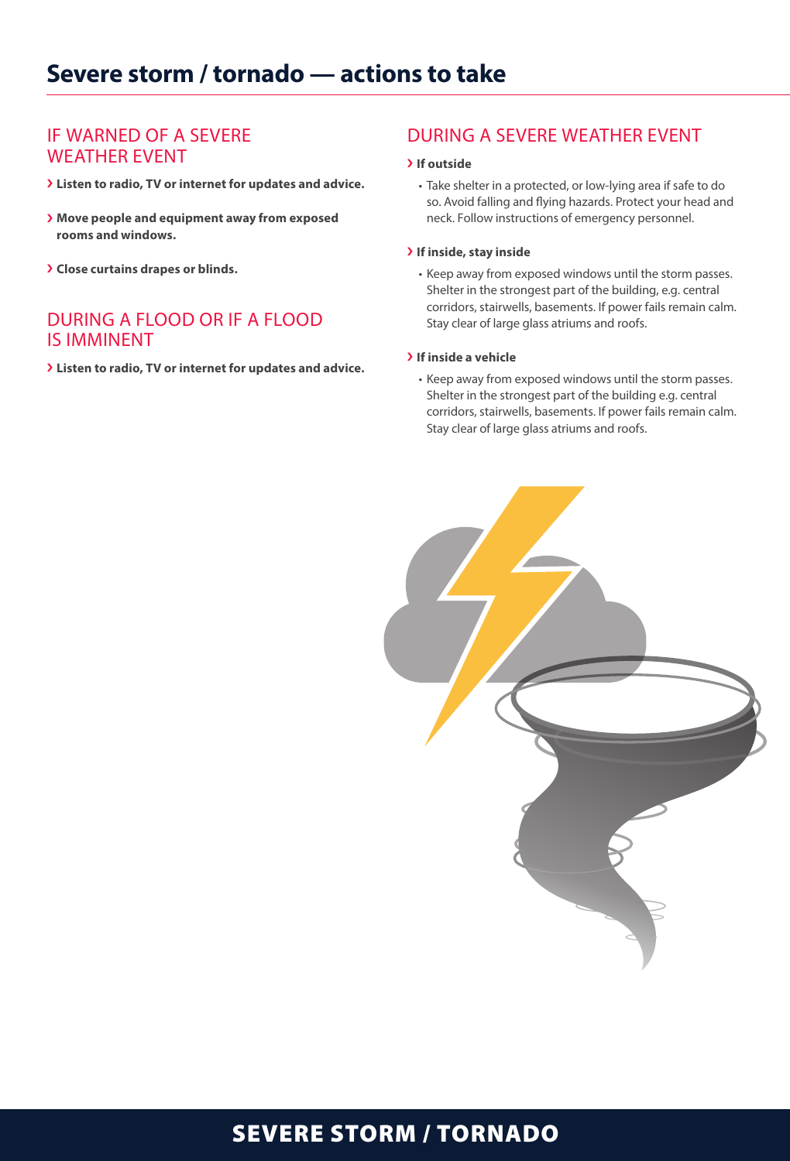### IF WARNED OF A SEVERE WEATHER EVENT

- › **Listen to radio, TV or internet for updates and advice.**
- › **Move people and equipment away from exposed rooms and windows.**
- › **Close curtains drapes or blinds.**

### DURING A FLOOD OR IF A FLOOD IS IMMINENT

› **Listen to radio, TV or internet for updates and advice.**

### DURING A SEVERE WEATHER EVENT

#### › **If outside**

• Take shelter in a protected, or low-lying area if safe to do so. Avoid falling and flying hazards. Protect your head and neck. Follow instructions of emergency personnel.

#### › **If inside, stay inside**

• Keep away from exposed windows until the storm passes. Shelter in the strongest part of the building, e.g. central corridors, stairwells, basements. If power fails remain calm. Stay clear of large glass atriums and roofs.

#### › **If inside a vehicle**

• Keep away from exposed windows until the storm passes. Shelter in the strongest part of the building e.g. central corridors, stairwells, basements. If power fails remain calm. Stay clear of large glass atriums and roofs.



### SEVERE STORM / TORNADO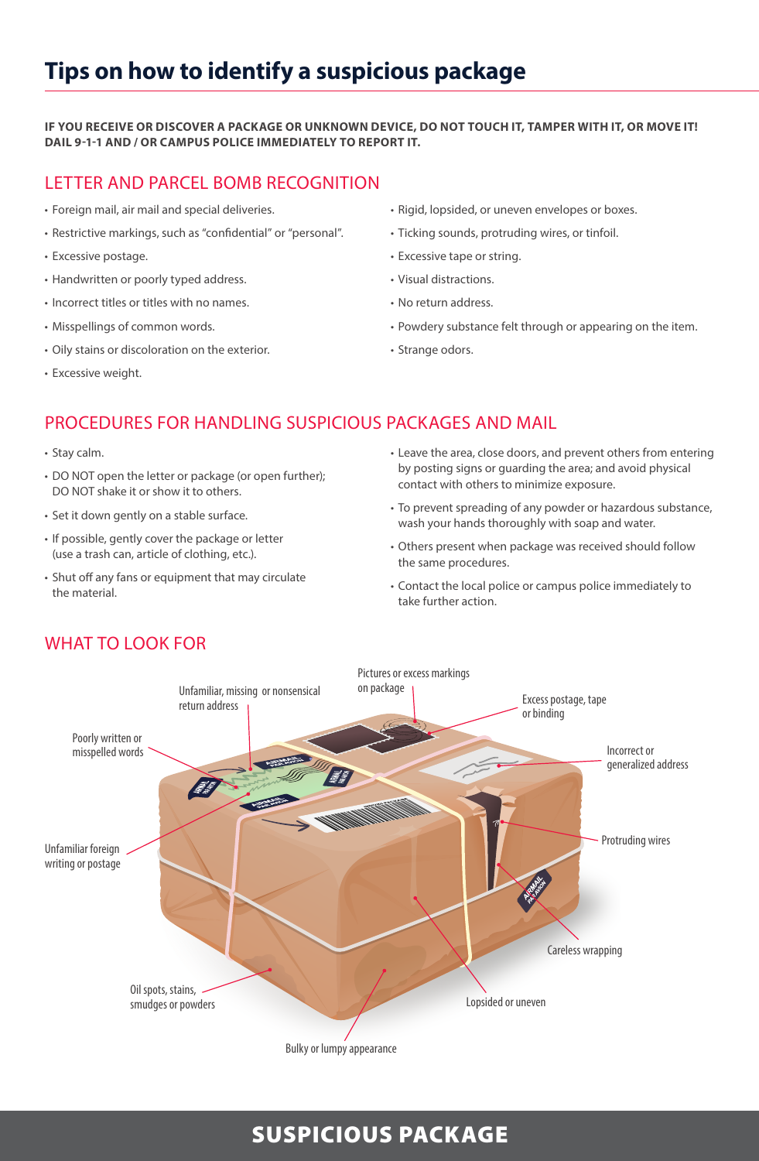## **Tips on how to identify a suspicious package**

#### **IF YOU RECEIVE OR DISCOVER A PACKAGE OR UNKNOWN DEVICE, DO NOT TOUCH IT, TAMPER WITH IT, OR MOVE IT! DAIL 9-1-1 AND / OR CAMPUS POLICE IMMEDIATELY TO REPORT IT.**

### LETTER AND PARCEL BOMB RECOGNITION

- Foreign mail, air mail and special deliveries.
- Restrictive markings, such as "confidential" or "personal".
- Excessive postage.
- Handwritten or poorly typed address.
- Incorrect titles or titles with no names.
- Misspellings of common words.
- Oily stains or discoloration on the exterior.
- Excessive weight.
- Rigid, lopsided, or uneven envelopes or boxes.
- Ticking sounds, protruding wires, or tinfoil.
- Excessive tape or string.
- Visual distractions.
- No return address.
- Powdery substance felt through or appearing on the item.
- Strange odors.

### PROCEDURES FOR HANDLING SUSPICIOUS PACKAGES AND MAIL

- Stay calm.
- DO NOT open the letter or package (or open further); DO NOT shake it or show it to others.
- Set it down gently on a stable surface.
- If possible, gently cover the package or letter (use a trash can, article of clothing, etc.).
- Shut off any fans or equipment that may circulate the material.
- Leave the area, close doors, and prevent others from entering by posting signs or guarding the area; and avoid physical contact with others to minimize exposure.
- To prevent spreading of any powder or hazardous substance, wash your hands thoroughly with soap and water.
- Others present when package was received should follow the same procedures.
- Contact the local police or campus police immediately to take further action.



### WHAT TO LOOK FOR

### SUSPICIOUS PACKAGE